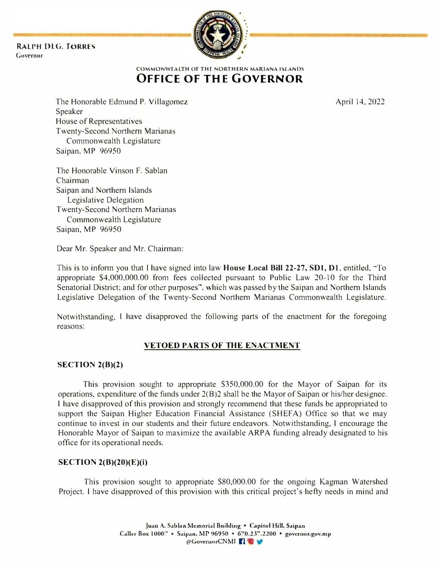RALPH DIG. TORRES Governor



# -�-------------------- COMMONWEALTH OF THE NORTHERN MARIANA ISLANDS OFFICE OF THE GOVERNOR

The Honorable Edmund P. Villagomez Speaker House of Representatives Twenty-Second Northern Marianas Commonwealth Legislature Saipan, MP 96950

The Honorable Vinson F. Sablan Chairman Saipan and Northern Islands Legislative Delegation Twenty-Second Northern Marianas Commonwealth Legislature Saipan, MP 96950

Dear Mr. Speaker and Mr. Chairman:

This is to inform you that I have signed into law House Local Bill 22-27, SOl, D1, entitled, "To appropriate 54,000,000.00 from fees collected pursuant to Public Law 20-10 for the Third Senatorial District; and for other purposes". which was passed by the Saipan and Northern Islands Legislative Delegation of the Twenty-Second Northern Marianas Commonwealth Legislature.

Notwithstanding, I have disapproved the following parts of the enactment for the foregoing reasons:

# VETOED PARTS OF THE ENACTMENT

# SECTION 2(B)(2)

This provision sought to appropriate \$350,000.00 for the Mayor of Saipan for its operations, expenditure of the funds under  $2(B)2$  shall be the Mayor of Saipan or his/her designee. I have disapproved of this provision and strongly recommend that these funds be appropriated to support the Saipan Higher Education Financial Assistance (SHEFA) Office so that we may continue to invest in our students and their future endeavors. Notwithstanding, I encourage the Honorable Mayor of Saipan to maximize the available ARPA funding already designated to his office for its operational needs.

# SECTION 2(B)(20)(E)(i)

This provision sought to appropriate \$80,000.00 for the ongoing Kagman Watershed Project. I have disapproved of this provision with this critical project's hefty needs in mind and

April 14,2022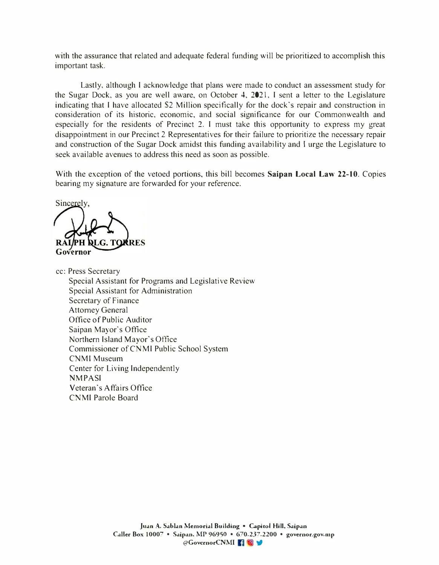with the assurance that related and adequate federal funding will be prioritized to accomplish this important task.

Lastly, although I acknowledge that plans were made to conduct an assessment study for the Sugar Dock, as you are well aware, on October 4, 2021, I sent a letter to the Legislature indicating that I have allocated \$2 Million specifically for the dock's repair and construction in consideration of its historic, economic, and social significance for our Commonwealth and especially for the residents of Precinct 2. I must take this opportunity to express my great disappointment in our Precinct 2 Representatives for their failure to prioritize the necessary repair and construction of the Sugar Dock amidst this funding availability and I urge the Legislature to seek available avenues to address this need as soon as possible.

With the exception of the vetoed portions, this bill becomes Saipan Local Law 22-10. Copies bearing my signature are forwarded for your reference,

Sincerely. RALLE AND RAILPH **DLG. TORRES** 

cc: Press Secretary Special Assistant for Programs and Legislative Review Special Assistant for Administration Secretary of Finance Attorney General Office of Public Auditor Saipan Mayor's Office Northern Island Mayor's Office Commissioner of CNMI Public School System CNMI Museum Center for Living Independently **NMPASI** Veteran's Affairs Office CNMI Parole Board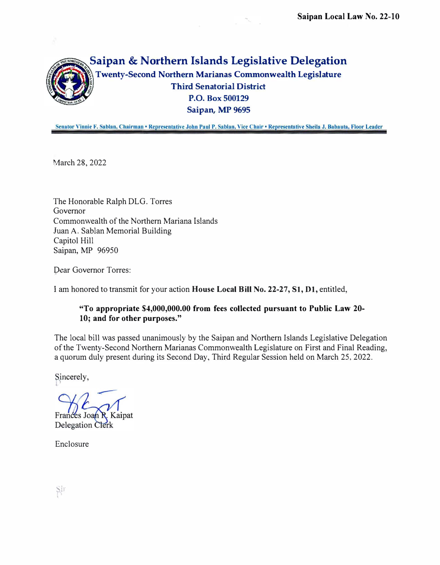

Senator Vinnie F. Sablan, Chairman • Representative John Paul P. Sablan, Vice Chair • Representative Sheila J. Babauta, Floor Leader

March 28, 2022

The Honorable Ralph DLG. Torres Governor Commonwealth of the Northern Mariana Islands Juan A. Sablan Memorial Building Capitol Hill Saipan, MP 96950

Dear Governor Torres:

I am honored to transmit for your action House Local Bill No. 22-27, SI, Dl, entitled,

# "To appropriate \$4,000,000.00 from fees collected pursuant to Public Law 20- 10; and for other purposes."

The local bill was passed unanimously by the Saipan and Northern Islands Legislative Delegation of the Twenty-Second Northern Marianas Commonwealth Legislature on First and Final Reading, a quorum duly present during its Second Day, Third Regular Session held on March 25, 2022.

Sincerely,

Frances Joan R. Kaipat

**Delegation Clerk** 

Enclosure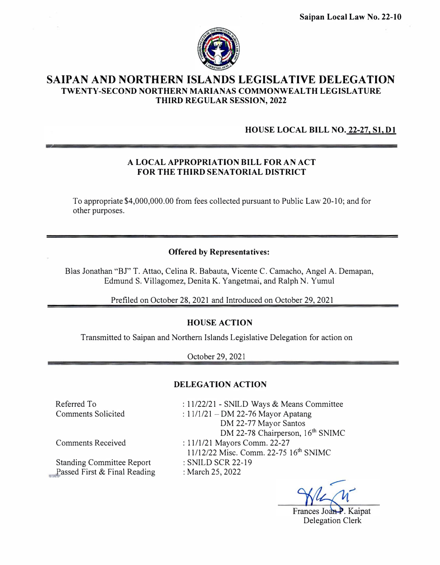

# SAIPAN AND NORTHERN ISLANDS LEGISLATIVE DELEGATION TWENTY -SECOND NORTHERN MARIANAS COMMONWEALTH LEGISLATURE THIRD REGULAR SESSION, 2022

# HOUSE LOCAL BILL NO. 22-27, Sl, D1

# A LOCAL APPROPRIATION BILL FOR AN ACT FOR THE THIRD SENATORIAL DISTRICT

To appropriate \$4,000,000.00 from fees collected pursuant to Public Law 20-10; and for other purposes.

# Offered by Representatives:

BIas Jonathan "BJ" T. Attao, Celina R. Babauta, Vicente C. Camacho, Angel A. Demapan, Edmund S. Villagomez, Denita K. Yangetmai, and Ralph N. Yumul

Prefiled on October 28, 2021 and Introduced on October 29, 2021

# HOUSE ACTION

Transmitted to Saipan and Northern Islands Legislative Delegation for action on

October 29, 202 1

# DELEGATION ACTION

Referred To Comments Solicited : 11122/21 - SNILD Ways & Means Committee : 11/1/21 - DM 22-76 Mayor Apatang DM 22-77 Mayor Santos DM 22-78 Chairperson, 16<sup>th</sup> SNIMC : 1111121 Mayors Comm. 22-27 11112/22 Misc. Comm. 22-75 16th SNIMC : SNILD SCR 22-19 : March 25, 2022

Kaipat Delegation Clerk

Comments Received

Standing Committee Report Passed First & Final Reading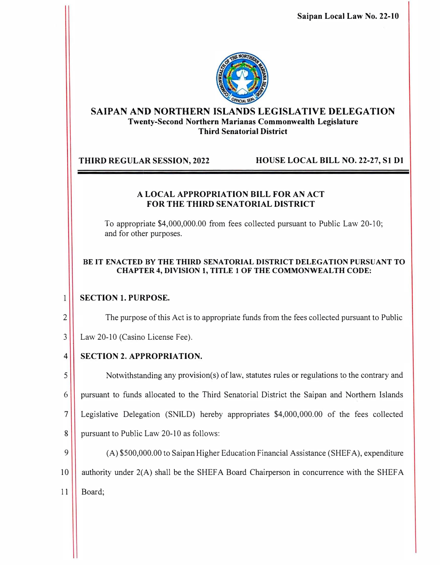Saipan Local Law No. 22-10



# SAIPAN AND NORTHERN ISLANDS LEGISLATIVE DELEGATION Twenty-Second Northern Marianas Commonwealth Legislature Third Senatorial District

THIRD REGULAR SESSION, 2022 HOUSE LOCAL BILL NO. 22-27, SI D1

# A LOCAL APPROPRIATION BILL FOR AN ACT FOR THE THIRD SENATORIAL DISTRICT

To appropriate \$4,000,000.00 from fees collected pursuant to Public Law 20-10; and for other purposes.

# BE IT ENACTED BY THE THIRD SENATORIAL DISTRICT DELEGATION PURSUANT TO CHAPTER 4, DIVISION 1, TITLE 1 OF THE COMMONWEALTH CODE:

### SECTION 1. PURPOSE.  $\mathbf{1}$

2<sup>1</sup> The purpose of this Act is to appropriate funds from the fees collected pursuant to Public

3 Law 20-10 (Casino License Fee).

# 4 SECTION 2. APPROPRIATION.

Notwithstanding any provision(s) of law, statutes rules or regulations to the contrary and pursuant to funds allocated to the Third Senatorial District the Saipan and Northern Islands Legislative Delegation (SNILD) hereby appropriates \$4,000,000.00 of the fees collected 8 pursuant to Public Law 20-10 as follows:

9 (A) \$500,000.00 to Saipan Higher Education Financial Assistance (SHEFA), expenditure 10 **authority under 2(A) shall be the SHEFA Board Chairperson in concurrence with the SHEFA** 11 Board;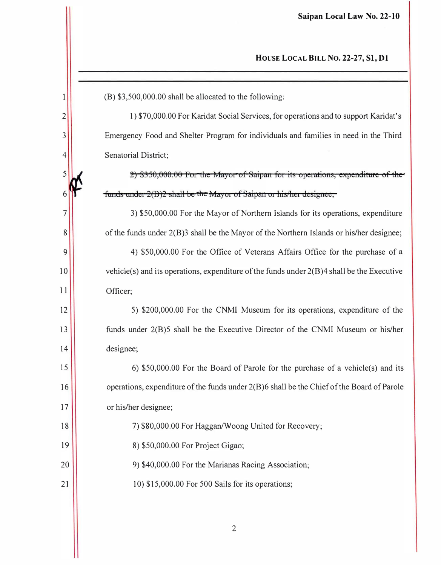(B) \$3,500,000.00 shall be allocated to the following:

1) \$70,000.00 For Karidat Social Services, for operations and to support Karidat's Emergency Food and Shelter Program for individuals and families in need in the Third Senatorial District;

2) \$350,000.00 For the Mayor of Saipan for its operations, expenditure of the funds under 2(B)2 shall be the Mayor of Saipan or his/her designee;

3) \$50,000.00 For the Mayor of Northern Islands for its operations, expenditure of the funds under 2(B)3 shall be the Mayor of the Northern Islands or his/her designee; 4) \$50,000.00 For the Office of Veterans Affairs Office for the purchase of a vehicle(s) and its operations, expenditure of the funds under  $2(B)$ 4 shall be the Executive

Officer;

 $\mathbf{1}$ 

 $\overline{2}$ 

 $\overline{3}$ 

 $\overline{4}$ 

5

6

 $\overline{7}$ 

 $8\phantom{.}$ 

9

10

 $11$ 

 $12$ 

13

14

18

19

5) \$200,000.00 For the CNMI Museum for its operations, expenditure of the funds under 2(B)5 shall be the Executive Director of the CNMI Museum or his/her designee;

15 6) \$50,000.00 For the Board of Parole for the purchase of a vehicle(s) and its operations, expenditure of the funds under 2(B)6 shall be the Chief of the Board of Parole 16 or his/her designee; 17

7) \$80,000.00 For Haggan/Woong United for Recovery;

8) \$50,000.00 For Project Gigao;

20 9) \$40,000.00 For the Marianas Racing Association;

 $21$ 10) \$15,000.00 For 500 Sails for its operations;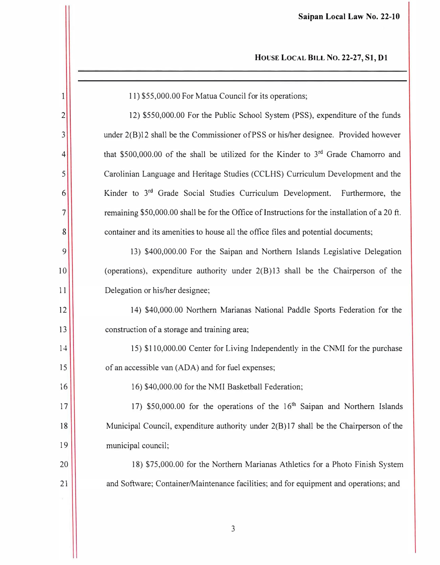| 1              | 11) \$55,000.00 For Matua Council for its operations;                                           |
|----------------|-------------------------------------------------------------------------------------------------|
| $\overline{2}$ | 12) \$550,000.00 For the Public School System (PSS), expenditure of the funds                   |
| 3              | under 2(B)12 shall be the Commissioner of PSS or his/her designee. Provided however             |
| 4              | that \$500,000.00 of the shall be utilized for the Kinder to 3 <sup>rd</sup> Grade Chamorro and |
| 5              | Carolinian Language and Heritage Studies (CCLHS) Curriculum Development and the                 |
| 6              | Kinder to 3rd Grade Social Studies Curriculum Development.<br>Furthermore, the                  |
| 7              | remaining \$50,000.00 shall be for the Office of Instructions for the installation of a 20 ft.  |
| 8              | container and its amenities to house all the office files and potential documents;              |
| 9              | 13) \$400,000.00 For the Saipan and Northern Islands Legislative Delegation                     |
| 10             | (operations), expenditure authority under $2(B)13$ shall be the Chairperson of the              |
| 11             | Delegation or his/her designee;                                                                 |
| 12             | 14) \$40,000.00 Northern Marianas National Paddle Sports Federation for the                     |
| 13             | construction of a storage and training area;                                                    |
| 14             | 15) \$110,000.00 Center for Living Independently in the CNMI for the purchase                   |
| 15             | of an accessible van (ADA) and for fuel expenses;                                               |
| 16             | 16) \$40,000.00 for the NMI Basketball Federation;                                              |
| 17             | 17) \$50,000.00 for the operations of the 16 <sup>th</sup> Saipan and Northern Islands          |
| 18             | Municipal Council, expenditure authority under 2(B)17 shall be the Chairperson of the           |
| 19             | municipal council;                                                                              |
| 20             | 18) \$75,000.00 for the Northern Marianas Athletics for a Photo Finish System                   |
| 21             | and Software; Container/Maintenance facilities; and for equipment and operations; and           |
|                |                                                                                                 |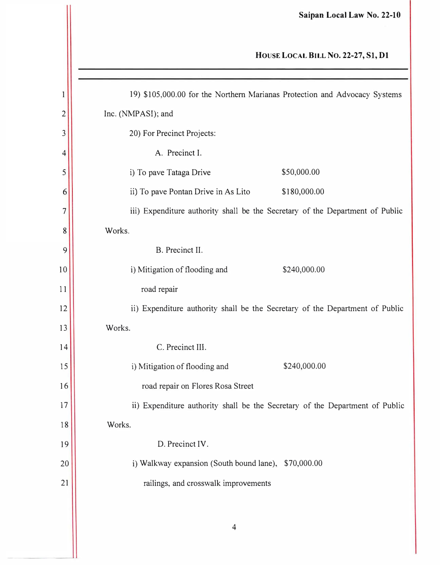# HOUSE LOCAL BILL No. 22-27, SI, Dl

| $\mathbf{l}$   | 19) \$105,000.00 for the Northern Marianas Protection and Advocacy Systems    |  |  |
|----------------|-------------------------------------------------------------------------------|--|--|
| $\overline{c}$ | Inc. (NMPASI); and                                                            |  |  |
| 3              | 20) For Precinct Projects:                                                    |  |  |
| 4              | A. Precinct I.                                                                |  |  |
| 5              | \$50,000.00<br>i) To pave Tataga Drive                                        |  |  |
| 6              | ii) To pave Pontan Drive in As Lito<br>\$180,000.00                           |  |  |
| 7              | iii) Expenditure authority shall be the Secretary of the Department of Public |  |  |
| 8              | Works.                                                                        |  |  |
| 9              | B. Precinct II.                                                               |  |  |
| 10             | i) Mitigation of flooding and<br>\$240,000.00                                 |  |  |
| 11             | road repair                                                                   |  |  |
| 12             | ii) Expenditure authority shall be the Secretary of the Department of Public  |  |  |
| 13             | Works.                                                                        |  |  |
| 14             | C. Precinct III.                                                              |  |  |
| 15             | \$240,000.00<br>i) Mitigation of flooding and                                 |  |  |
| 16             | road repair on Flores Rosa Street                                             |  |  |
| 17             | ii) Expenditure authority shall be the Secretary of the Department of Public  |  |  |
| 18             | Works.                                                                        |  |  |
| 19             | D. Precinct IV.                                                               |  |  |
| 20             | i) Walkway expansion (South bound lane), \$70,000.00                          |  |  |
| 21             | railings, and crosswalk improvements                                          |  |  |
|                |                                                                               |  |  |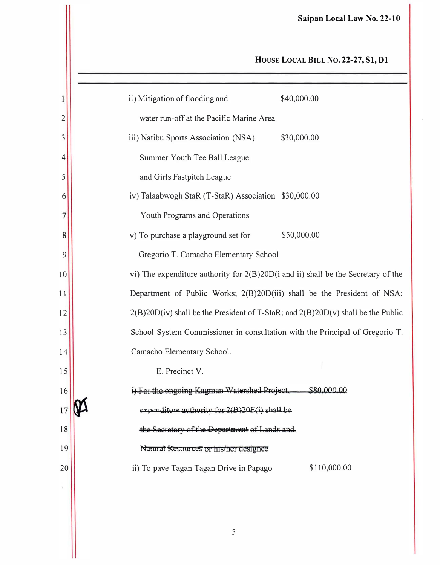# HOUSE LOCAL BILL NO. 22-27, S1, D1

| $\mathbf{1}$    | \$40,000.00<br>ii) Mitigation of flooding and                                     |
|-----------------|-----------------------------------------------------------------------------------|
| $\overline{c}$  | water run-off at the Pacific Marine Area                                          |
| 3               | iii) Natibu Sports Association (NSA)<br>\$30,000.00                               |
| 4               | Summer Youth Tee Ball League                                                      |
| 5               | and Girls Fastpitch League                                                        |
| 6               | iv) Talaabwogh StaR (T-StaR) Association \$30,000.00                              |
| 7               | Youth Programs and Operations                                                     |
| 8               | \$50,000.00<br>v) To purchase a playground set for                                |
| 9               | Gregorio T. Camacho Elementary School                                             |
| $\overline{10}$ | vi) The expenditure authority for 2(B)20D(i and ii) shall be the Secretary of the |
| $\overline{1}$  | Department of Public Works; 2(B)20D(iii) shall be the President of NSA;           |
| $\overline{12}$ | 2(B)20D(iv) shall be the President of T-StaR; and 2(B)20D(v) shall be the Public  |
| 13              | School System Commissioner in consultation with the Principal of Gregorio T.      |
| 14              | Camacho Elementary School.                                                        |
| 15              | E. Precinct V.                                                                    |
| 16              | i) For the ongoing Kagman Watershed Project,<br>\$80,000,00                       |
|                 | expenditure authority for 2(B)20E                                                 |
| 18              | the Secretary of the Department of Lands and                                      |
| 19              | Natural Resources or his/her designee                                             |
| 20              | \$110,000.00<br>ii) To pave Tagan Tagan Drive in Papago                           |
|                 |                                                                                   |
|                 |                                                                                   |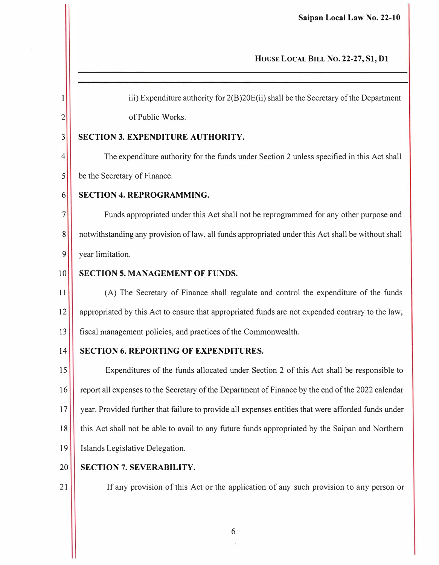# HOUSE LOCAL BILL No. 22-27, SI, Dl

 $1$  iii) Expenditure authority for  $2(B)20E(i)$  shall be the Secretary of the Department 2<sup>2</sup> of Public Works.

# 3 SECTION 3. EXPENDITURE AUTHORITY.

4 The expenditure authority for the funds under Section 2 unless specified in this Act shall 5 be the Secretary of Finance.

# 6 SECTION 4. REPROGRAMMING.

7<sup>1</sup> Funds appropriated under this Act shall not be reprogrammed for any other purpose and 8 notwithstanding any provision of law, all funds appropriated under this Act shall be without shall 9<sup>1</sup> year limitation.

# 10 SECTION 5. MANAGEMENT OF FUNDS.

11 (A) The Secretary of Finance shall regulate and control the expenditure of the funds 12 appropriated by this Act to ensure that appropriated funds are not expended contrary to the law, 13 fiscal management policies, and practices of the Commonwealth.

# 14 SECTION 6. REPORTING OF EXPENDITURES.

15 Expenditures of the funds allocated under Section 2 of this Act shall be responsible to 16 report all expenses to the Secretary of the Department of Finance by the end of the 2022 calendar 17 year. Provided further that failure to provide all expenses entities that were afforded funds under 18 this Act shall not be able to avail to any future funds appropriated by the Saipan and Northern 19 Islands Legislative Delegation.

# 20 | SECTION 7. SEVERABILITY.

21 | If any provision of this Act or the application of any such provision to any person or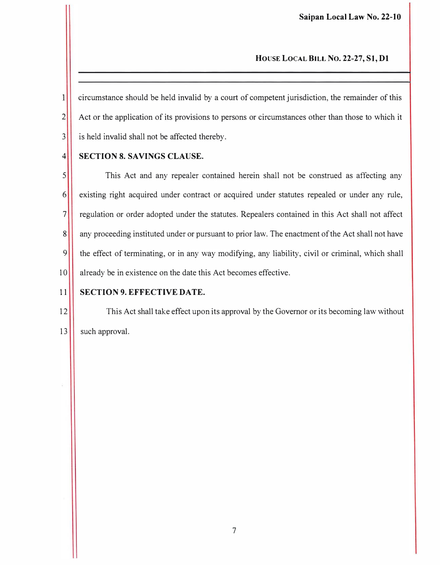# HOUSE LOCAL BILL No. 22-27, SI, Dl

 $\mathbf{1}$ circumstance should be held invalid by a court of competent jurisdiction, the remainder of this 2<sup>2</sup> Act or the application of its provisions to persons or circumstances other than those to which it  $3$  is held invalid shall not be affected thereby.

# 4 SECTION 8. SAVINGS CLAUSE.

5 This Act and any repealer contained herein shall not be construed as affecting any 6 existing right acquired under contract or acquired under statutes repealed or under any rule, 7 regulation or order adopted under the statutes. Repealers contained in this Act shall not affect 8 any proceeding instituted under or pursuant to prior law. The enactment of the Act shall not have 9 the effect of terminating, or in any way modifying, any liability, civil or criminal, which shall 10 already be in existence on the date this Act becomes effective.

# 11 SECTION 9. EFFECTIVE DATE.

12 This Act shall take effect upon its approval by the Governor or its becoming law without 13 such approval.